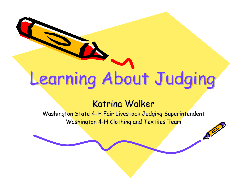# Learning About Judging

#### Katrina Walker

Washington State 4-H Fair Livestock Judging Superintendent Washington 4-H Clothing and Textiles Team

 $\mathcal{L}^2$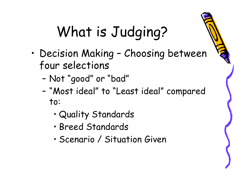## What is Judging?

- • Decision Making – Choosing between four selections
	- –Not "good" or "bad"
	- – "Most ideal" to "Least ideal" compared to:
		- •Quality Standards
		- •Breed Standards
		- •Scenario / Situation Given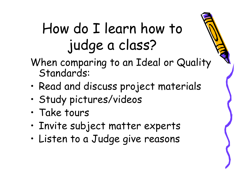### How do I learn how to judge a class?

- When comparing to an Ideal or Quality Standards:
- •Read and discuss project materials
- •Study pictures/videos
- •Take tours
- •Invite subject matter experts
- •Listen to a Judge give reasons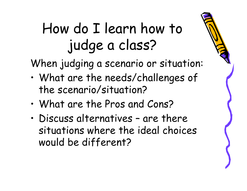### How do I learn how to judge a class?

When judging a scenario or situation:

- • What are the needs/challenges of the scenario/situation?
- •What are the Pros and Cons?
- • Discuss alternatives – are there situations where the ideal choices would be different?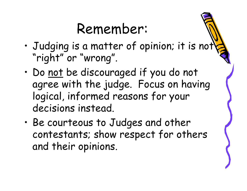#### Remember:

- • Judging is a matter of opinion; it is not "right" or "wrong".
- •Do not be discouraged if you do not agree with the judge. Focus on having logical, informed reasons for your decisions instead.
- • Be courteous to Judges and other contestants; show respect for others and their opinions.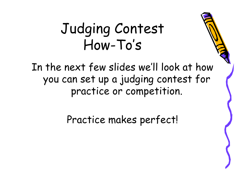#### Judging Contest How-To's

In the next few slides we'll look at how you can set up a judging contest for practice or competition.

Practice makes perfect!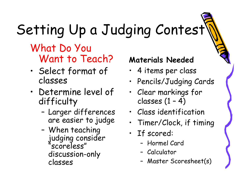# Setting Up a Judging Contest

#### What Do You Want to Teach?

- • Select format of classes
- • Determine level of difficulty
	- – Larger differences are easier to judge
	- – When teaching judging consider "scoreless" discussion-only classes

#### **Materials Needed**

- 4 items per class
- Pencils/Judging Cards
- Clear markings for classes (1 – 4)
- Class identification
- •Timer/Clock, if timing
- If scored:
	- Hormel Card
	- Calculator
	- –Master Scoresheet(s)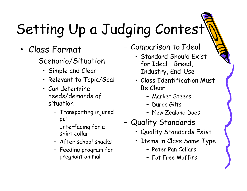# Setting Up a Judging Contest

- • Class Format
	- Scenario/Situation
		- Simple and Clear
		- Relevant to Topic/Goal
		- Can determine needs/demands of situation
			- Transporting injured pet
			- Interfacing for a shirt collar
			- After school snacks
			- Feeding program for pregnant animal
- – Comparison to Ideal
	- Standard Should Exist for Ideal – Breed, Industry, End-Use
	- Class Identification Must Be Clear
		- Market Steers
		- Duroc Gilts
		- New Zealand Does
- – Quality Standards
	- Quality Standards Exist
	- Items in Class Same Type
		- Peter Pan Collars
		- Fat Free Muffins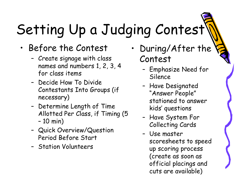## Setting Up a Judging Contest

- • Before the Contest
	- – Create signage with class names and numbers 1, 2, 3, 4 for class items
	- Decide How To Divide Contestants Into Groups (if necessary)
	- – Determine Length of Time Allotted Per Class, if Timing (5 –10 min)
	- – Quick Overview/Question Period Before Start
	- Station Volunteers
- • During/After the Contest
	- – Emphasize Need for Silence
	- – Have Designated "Answer People" stationed to answer kids' questions
	- Have System For Collecting Cards
	- Use master scoresheets to speed up scoring process (create as soon as official placings and cuts are available)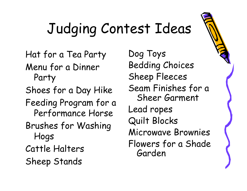## Judging Contest Ideas

Hat for a Tea Party Menu for a Dinner Party

Shoes for a Day Hike

Feeding Program for a Performance Horse

Brushes for Washing Hogs

Cattle Halters

Sheep Stands

Dog Toys Bedding Choices Sheep Fleeces Seam Finishes for a Sheer Garment Lead ropes Quilt Blocks Microwave Brownies Flowers for a Shade Garden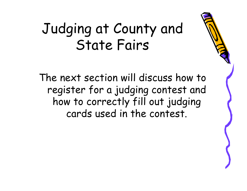#### Judging at County and State Fairs

The next section will discuss how to register for a judging contest and how to correctly fill out judging cards used in the contest.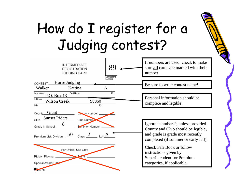### How do I register for a Judging contest?

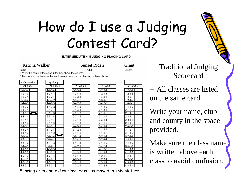### How do I use a Judging Contest Card?

INTERMEDIATE 4-H JUDGING PLACING CARD

| Katrina Walker  |                                                             | <b>Sunset Riders</b>                                                             |                 | Grant              |  |
|-----------------|-------------------------------------------------------------|----------------------------------------------------------------------------------|-----------------|--------------------|--|
| Name            |                                                             | Club                                                                             |                 | County             |  |
|                 | 1. Write the name of the class in the box above the column. |                                                                                  |                 |                    |  |
|                 |                                                             | 2. Mark one of the boxes within each column to show the placing you have chosen. |                 |                    |  |
| Arabian Halter  | English Eq.                                                 |                                                                                  |                 |                    |  |
| <b>CLASS1</b>   | <b>CLASS 2</b>                                              | CLASS <sub>3</sub>                                                               | <b>CLASS 4</b>  | CLASS <sub>5</sub> |  |
| $1 - 2 - 3 - 4$ | $-2-3-4$                                                    | $-2-3-4$                                                                         | $1 - 2 - 3 - 4$ | $1 - 2 - 3 - 4$    |  |
| $1 - 2 - 4 - 3$ | $1 - 2 - 4 - 3$                                             | $1 - 2 - 4 - 3$                                                                  | $1 - 2 - 4 - 3$ | $1 - 2 - 4 - 3$    |  |
| $1 - 3 - 2 - 4$ | $1 - 3 - 2 - 4$                                             | $1 - 3 - 2 - 4$                                                                  | $1 - 3 - 2 - 4$ | $1 - 3 - 2 - 4$    |  |
| $1 - 3 - 4 - 2$ | $1 - 3 - 4 - 2$                                             | $1 - 3 - 4 - 2$                                                                  | $1 - 3 - 4 - 2$ | $1 - 3 - 4 - 2$    |  |
| $1 - 4 - 2 - 3$ | $1 - 4 - 2 - 3$                                             | $1 - 4 - 2 - 3$                                                                  | $1 - 4 - 2 - 3$ | $1 - 4 - 2 - 3$    |  |
| $1 - 4 - 3 - 2$ | $1 - 4 - 3 - 2$                                             | $1 - 4 - 3 - 2$                                                                  | $1 - 4 - 3 - 2$ | $1 - 4 - 3 - 2$    |  |
| $2 - 1 - 3 - 4$ | $2 - 1 - 3 - 4$                                             | $2 - 1 - 3 - 4$                                                                  | $2 - 1 - 3 - 4$ | $2 - 1 - 3 - 4$    |  |
| $2 - 1 - 4 - 3$ | $2 - 1 - 4 - 3$                                             | $2 - 1 - 4 - 3$                                                                  | $2 - 1 - 4 - 3$ | $2 - 1 - 4 - 3$    |  |
| $2 - 3 - 1 - 4$ | $2 - 3 - 1 - 4$                                             | $2 - 3 - 1 - 4$                                                                  | $2 - 3 - 1 - 4$ | $2 - 3 - 1 - 4$    |  |
| $2 - 3 - 4 - 1$ | $2 - 3 - 4 - 1$                                             | $2 - 3 - 4 - 1$                                                                  | $2 - 3 - 4 - 1$ | $2 - 3 - 4 - 1$    |  |
| $2 - 4 - 1 - 3$ | $2 - 4 - 1 - 3$                                             | $2 - 4 - 1 - 3$                                                                  | $2 - 4 - 1 - 3$ | $2 - 4 - 1 - 3$    |  |
| $2 - 4 - 3 - 1$ | $2 - 4 - 3 - 1$                                             | $2 - 4 - 3 - 1$                                                                  | $2 - 4 - 3 - 1$ | $2 - 4 - 3 - 1$    |  |
| $3 - 1 - 2 - 4$ | $3 - 1 - 2 - 4$                                             | $3 - 1 - 2 - 4$                                                                  | $3 - 1 - 2 - 4$ | $3 - 1 - 2 - 4$    |  |
| $3 - 1 - 4 - 2$ | $3 - 1 - 4 - 2$                                             | $3 - 1 - 4 - 2$                                                                  | $3 - 1 - 4 - 2$ | $3 - 1 - 4 - 2$    |  |
| $3 - 2 - 1 - 4$ | $3 - 2 - 1 - 4$                                             | $3 - 2 - 1 - 4$                                                                  | $3 - 2 - 1 - 4$ | $3 - 2 - 1 - 4$    |  |
| $3 - 2 - 4 - 1$ | $3 - 2 - 4 - 1$                                             | $3 - 2 - 4 - 1$                                                                  | $3 - 2 - 4 - 1$ | $3 - 2 - 4 - 1$    |  |
| $3 - 4 - 1 - 2$ | $3-4-1-2$                                                   | $3-4-1-2$                                                                        | $3 - 4 - 1 - 2$ | $3 - 4 - 1 - 2$    |  |
| $3-4-2-1$       | $3 - 4 - 2 - 1$                                             | $3-4-2-1$                                                                        | $3 - 4 - 2 - 1$ | $3 - 4 - 2 - 1$    |  |
| $4 - 1 - 2 - 3$ | $4 - 1 - 2 - 3$                                             | $4 - 1 - 2 - 3$                                                                  | $4 - 1 - 2 - 3$ | $4 - 1 - 2 - 3$    |  |
| $4 - 1 - 3 - 2$ | $4 - 1 - 3 - 2$                                             | $4 - 1 - 3 - 2$                                                                  | $4 - 1 - 3 - 2$ | $4 - 1 - 3 - 2$    |  |
| $4 - 2 - 1 - 3$ | $4 - 2 - 1 - 3$                                             | $4 - 2 - 1 - 3$                                                                  | $4 - 2 - 1 - 3$ | $4 - 2 - 1 - 3$    |  |
| $4 - 2 - 3 - 1$ | $4 - 2 - 3 - 1$                                             | $4 - 2 - 3 - 1$                                                                  | $4 - 2 - 3 - 1$ | $4 - 2 - 3 - 1$    |  |
| $4 - 3 - 1 - 2$ | $4 - 3 - 1 - 2$                                             | $4 - 3 - 1 - 2$                                                                  | $4 - 3 - 1 - 2$ | $4 - 3 - 1 - 2$    |  |
| 4-3-2-1         | $4 - 3 - 2 - 1$                                             | $4 - 3 - 2 - 1$                                                                  | $4 - 3 - 2 - 1$ | $4 - 3 - 2 - 7$    |  |

Traditional Judging Scorecard

 All classes are listed the same card.

rite your name, club d county in the space ovided.

ake sure the class name written above each ass to avoid confusion.

Scoring area and extra class boxes removed in this picture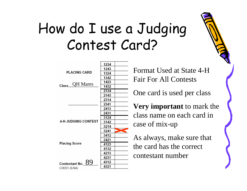### How do I use a Judging Contest Card?

Format Used at State 4-H Fair For All Contests

One card is used per class

**Very important** to mark the class name on each card in case of mix-up

As always, make sure that the card has the correct contestant number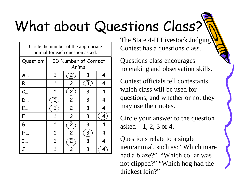## What about Questions Class?

Circle the number of the appropriate animal for each question asked.

| Question:             | ID Number of Correct<br>Animal |                |   |   |  |
|-----------------------|--------------------------------|----------------|---|---|--|
| $A_{}$                | 1                              | $\mathbf{Z}$   | 3 | 4 |  |
| B                     | 1                              | $\overline{2}$ | 3 | 4 |  |
| $C_{\cdots}$          | 1                              | $\overline{c}$ | 3 | 4 |  |
| D                     | $\mathbf{1}$                   | $\overline{2}$ | 3 | 4 |  |
| E                     |                                | $\overline{c}$ | 3 | 4 |  |
| F                     | 1                              | $\overline{2}$ | 3 | 4 |  |
| G                     | 1                              | $\mathbf{2}$   | 3 | 4 |  |
| $H_{\cdot\cdot\cdot}$ | $\mathbf{1}$                   | $\overline{c}$ | 3 | 4 |  |
| $I_{}$                | 1                              | 2              | 3 | 4 |  |
|                       |                                | 2              | 3 | 4 |  |

The State 4-H Livestock Judging Contest has a questions class.

Questions class encourages notetaking and observation skills.

Contest officials tell contestants which class will be used for questions, and whether or not they may use their notes.

Circle your answer to the question asked  $-1, 2, 3$  or 4.

Questions relate to a single item/animal, such as: "Which mare had a blaze?" "Which collar was not clipped?" "Which hog had the thickest loin?"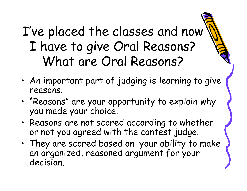#### I've placed the classes and now I have to give Oral Reasons? What are Oral Reasons?

- • An important part of judging is learning to give reasons.
- • "Reasons" are your opportunity to explain why you made your choice.
- • Reasons are not scored according to whether or not you agreed with the contest judge.
- • They are scored based on your ability to make an organized, reasoned argument for your decision.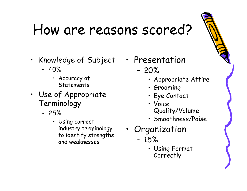### How are reasons scored?

- Knowledge of Subject
	- 40%
		- Accuracy of **Statements**
- Use of Appropriate Terminology
	- 25%
		- Using correct industry terminology to identify strengths and weaknesses
- • Presentation
	- 20%
		- Appropriate Attire
		- Grooming
		- Eye Contact
		- Voice Quality/Volume
		- Smoothness/Poise
- Organization
	- 15%
		- Using Format Correctly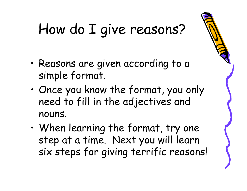## How do I give reasons?

- • Reasons are given according to a simple format.
- • Once you know the format, you only need to fill in the adjectives and nouns.
- • When learning the format, try one step at a time. Next you will learn six steps for giving terrific reasons!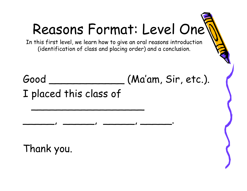## Reasons Format: Level One

In this first level, we learn how to give an oral reasons introduction (identification of class and placing order) and a conclusion.

Good \_\_\_\_\_\_\_\_\_\_\_\_ (Ma'am, Sir, etc.). I placed this class of

\_\_\_\_\_\_\_\_\_\_\_\_\_\_\_\_\_\_

\_\_\_\_\_, \_\_\_\_\_, \_\_\_\_\_, \_\_\_\_\_.

Thank you.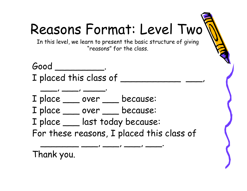## Reasons Format: Level Two

In this level, we learn to present the basic structure of giving "reasons" for the class.

Good \_\_\_\_\_\_\_\_\_. I placed this class of

 $\qquad \qquad$ 

I place \_\_ over \_\_ because:

I place \_\_\_ over \_\_ because:

I place \_\_\_ last today because:

For these reasons, I placed this class of

\_\_\_\_\_\_\_ \_\_\_, \_\_\_, \_\_\_, \_\_\_. Thank you.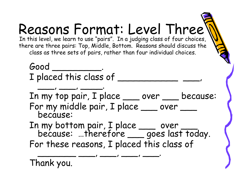#### Reasons Format: Level Three In this level, we learn to use "pairs". In a judging class of four choices, there are three pairs: Top, Middle, Bottom. Reasons should discuss the class as three sets of pairs, rather than four individual choices. Good I placed this class of \_ \_\_\_, \_\_\_, \_\_\_\_. In my top pair, I place \_\_\_ over \_\_ because: For my middle pair, I place \_\_\_ over<br>because: In my bottom pair, I place \_\_\_ over \_\_\_<br>because: …therefore \_\_\_ goes last today. For these reasons, I placed this class of \_\_\_\_\_\_\_ \_\_\_, \_\_\_, \_\_\_, \_\_\_. Thank you.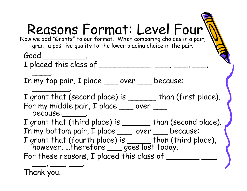| Reasons Format: Level Four<br>Now we add "Grants" to our format. When comparing choices in a pair,<br>grant a positive quality to the lower placing choice in the pair. |
|-------------------------------------------------------------------------------------------------------------------------------------------------------------------------|
| $\boldsymbol{\mathsf{Good}}\_$                                                                                                                                          |
| I placed this class of ___                                                                                                                                              |
| In my top pair, I place ___ over __ because:                                                                                                                            |
| I grant that (second place) is _______ than (first place).<br>For my middle pair, I place __ over _<br>because: ______.                                                 |
| I grant that (third place) is ______ than (second place).                                                                                                               |
| In my bottom pair, I place ___ over __ because:                                                                                                                         |
| I grant that (fourth place) is than (third place),<br>however, therefore <u>yoes</u> last today.                                                                        |
| For these reasons, I placed this class of _                                                                                                                             |
|                                                                                                                                                                         |

 $\overline{\phantom{a}}$ 

Thank you.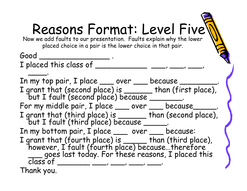#### Reasons Format: Level Five Now we add faults to our presentation. Faults explain why the lower placed choice in a pair is the lower choice in that pair. Good \_\_\_\_\_\_\_\_\_\_\_\_\_\_\_ . I placed this class of \_\_\_\_\_\_\_\_\_\_\_\_\_\_\_ \_\_\_\_, \_\_\_\_, \_\_\_\_, \_\_\_\_. In my top pair, I place \_\_\_\_\_ over \_\_\_\_\_ because \_\_\_\_ I grant that (second place) is \_\_\_\_\_\_ than (first place),<br>but I fault (second place) because \_\_\_\_\_\_\_\_. For my middle pair, I place \_\_\_\_ over \_\_\_\_ because\_\_\_\_\_ I grant that (third place) is \_\_\_\_\_\_ than (second place), but I fault (third place) because \_\_\_\_\_. In my bottom pair, I place \_\_\_ over \_\_ because: I grant that (fourth place) is \_\_\_\_\_ than (third place),<br>however, I fault (fourth place) because...therefore<br>\_\_\_ goes last today. For these reasons, I placed this<br>class of Thank you.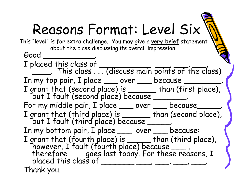## Reasons Format: Level Six

Good \_\_\_\_\_\_\_\_\_\_\_. I placed this class of \_\_\_\_\_\_\_\_\_\_\_.<br>I placed this class . . . (discuss main points of the class) In my top pair, I place \_\_\_\_\_\_ over \_\_\_\_\_\_ because \_ I grant that (second place) is \_\_\_\_\_\_\_ than (first place),<br>but I fault (second place) because \_\_\_\_\_\_\_\_. For my middle pair, I place \_\_\_\_ over \_\_\_\_ because\_\_\_\_ I grant that (third place) is \_\_\_\_\_\_\_ than (second place),<br>but I fault (third place) because \_\_\_\_\_\_. In my bottom pair, I place \_\_\_ over \_\_ because: I grant that (fourth place) is \_\_\_\_\_ than (third place),<br>however, I fault (fourth place) because \_\_\_ ,<br>therefore \_\_\_ goes last today. For these reasons, I<br>placed this class of \_\_\_\_\_\_\_\_\_\_\_\_, \_\_\_\_, \_\_\_\_, \_\_\_\_; Thank you. This "level" is for extra challenge. You may give a **very brief** statement about the class discussing its overall impression.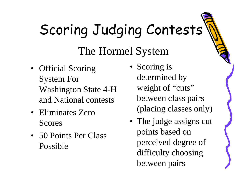## Scoring Judging Contests

#### The Hormel System

- Official Scoring System For Washington State 4-H and National contests
- Eliminates Zero Scores
- 50 Points Per Class Possible
- Scoring is determined by weight of "cuts" between class pairs (placing classes only)
- The judge assigns cut points based on perceived degree of difficulty choosing between pairs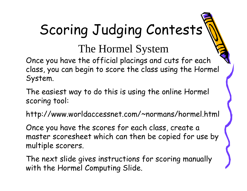## Scoring Judging Contests

The Hormel System

Once you have the official placings and cuts for each class, you can begin to score the class using the Hormel System.

The easiest way to do this is using the online Hormel scoring tool:

http://www.worldaccessnet.com/~normans/hormel.html

Once you have the scores for each class, create a master scoresheet which can then be copied for use by multiple scorers.

The next slide gives instructions for scoring manually with the Hormel Computing Slide.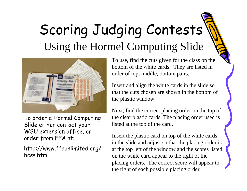### Scoring Judging Contests Using the Hormel Computing Slide



To order a Hormel Computing Slide either contact your WSU extension office, or order from FFA at:

http://www.ffaunlimited.org/ hcss.html

To use, find the cuts given for the class on the bottom of the white cards. They are listed in order of top, middle, bottom pairs.

Insert and align the white cards in the slide so that the cuts chosen are shown in the bottom of the plastic window.

Next, find the correct placing order on the top of the clear plastic cards. The placing order used is listed at the top of the card.

Insert the plastic card on top of the white cards in the slide and adjust so that the placing order is at the top left of the window and the scores listed on the white card appear to the right of the placing orders. The correct score will appear to the right of each possible placing order.